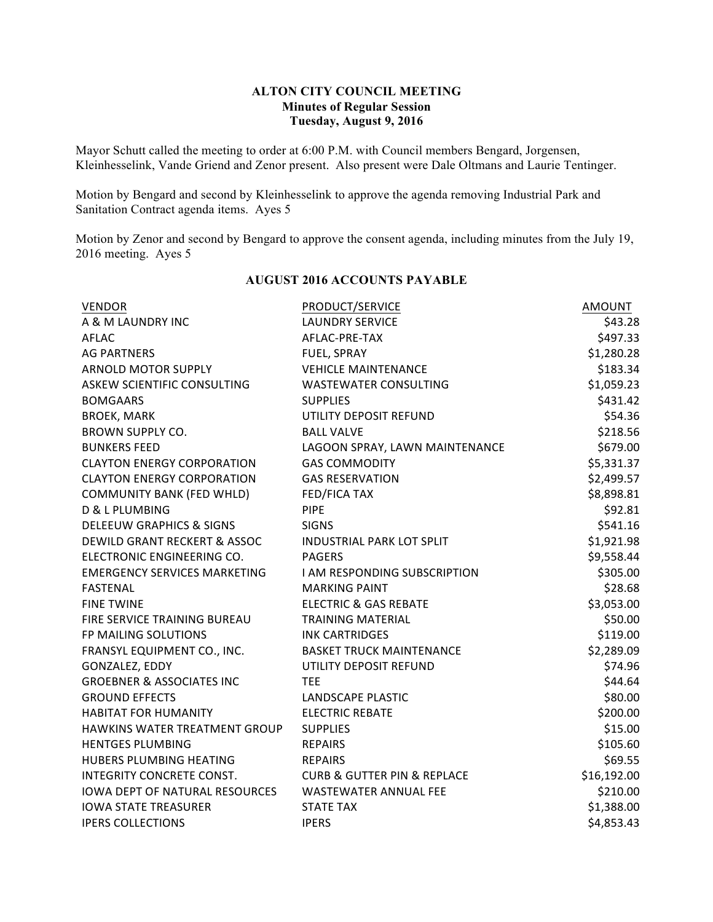#### **ALTON CITY COUNCIL MEETING Minutes of Regular Session Tuesday, August 9, 2016**

Mayor Schutt called the meeting to order at 6:00 P.M. with Council members Bengard, Jorgensen, Kleinhesselink, Vande Griend and Zenor present. Also present were Dale Oltmans and Laurie Tentinger.

Motion by Bengard and second by Kleinhesselink to approve the agenda removing Industrial Park and Sanitation Contract agenda items. Ayes 5

Motion by Zenor and second by Bengard to approve the consent agenda, including minutes from the July 19, 2016 meeting. Ayes 5

| <b>VENDOR</b>                        | PRODUCT/SERVICE                            | <b>AMOUNT</b> |
|--------------------------------------|--------------------------------------------|---------------|
| A & M LAUNDRY INC                    | <b>LAUNDRY SERVICE</b>                     | \$43.28       |
| <b>AFLAC</b>                         | AFLAC-PRE-TAX                              | \$497.33      |
| <b>AG PARTNERS</b>                   | FUEL, SPRAY                                | \$1,280.28    |
| ARNOLD MOTOR SUPPLY                  | <b>VEHICLE MAINTENANCE</b>                 | \$183.34      |
| ASKEW SCIENTIFIC CONSULTING          | <b>WASTEWATER CONSULTING</b>               | \$1,059.23    |
| <b>BOMGAARS</b>                      | <b>SUPPLIES</b>                            | \$431.42      |
| <b>BROEK, MARK</b>                   | UTILITY DEPOSIT REFUND                     | \$54.36       |
| <b>BROWN SUPPLY CO.</b>              | <b>BALL VALVE</b>                          | \$218.56      |
| <b>BUNKERS FEED</b>                  | LAGOON SPRAY, LAWN MAINTENANCE             | \$679.00      |
| <b>CLAYTON ENERGY CORPORATION</b>    | <b>GAS COMMODITY</b>                       | \$5,331.37    |
| <b>CLAYTON ENERGY CORPORATION</b>    | <b>GAS RESERVATION</b>                     | \$2,499.57    |
| <b>COMMUNITY BANK (FED WHLD)</b>     | <b>FED/FICA TAX</b>                        | \$8,898.81    |
| <b>D &amp; L PLUMBING</b>            | <b>PIPE</b>                                | \$92.81       |
| <b>DELEEUW GRAPHICS &amp; SIGNS</b>  | <b>SIGNS</b>                               | \$541.16      |
| DEWILD GRANT RECKERT & ASSOC         | <b>INDUSTRIAL PARK LOT SPLIT</b>           | \$1,921.98    |
| ELECTRONIC ENGINEERING CO.           | <b>PAGERS</b>                              | \$9,558.44    |
| <b>EMERGENCY SERVICES MARKETING</b>  | I AM RESPONDING SUBSCRIPTION               | \$305.00      |
| <b>FASTENAL</b>                      | <b>MARKING PAINT</b>                       | \$28.68       |
| <b>FINE TWINE</b>                    | <b>ELECTRIC &amp; GAS REBATE</b>           | \$3,053.00    |
| FIRE SERVICE TRAINING BUREAU         | <b>TRAINING MATERIAL</b>                   | \$50.00       |
| FP MAILING SOLUTIONS                 | <b>INK CARTRIDGES</b>                      | \$119.00      |
| FRANSYL EQUIPMENT CO., INC.          | <b>BASKET TRUCK MAINTENANCE</b>            | \$2,289.09    |
| GONZALEZ, EDDY                       | UTILITY DEPOSIT REFUND                     | \$74.96       |
| <b>GROEBNER &amp; ASSOCIATES INC</b> | <b>TEE</b>                                 | \$44.64       |
| <b>GROUND EFFECTS</b>                | LANDSCAPE PLASTIC                          | \$80.00       |
| <b>HABITAT FOR HUMANITY</b>          | <b>ELECTRIC REBATE</b>                     | \$200.00      |
| HAWKINS WATER TREATMENT GROUP        | <b>SUPPLIES</b>                            | \$15.00       |
| <b>HENTGES PLUMBING</b>              | <b>REPAIRS</b>                             | \$105.60      |
| HUBERS PLUMBING HEATING              | <b>REPAIRS</b>                             | \$69.55       |
| INTEGRITY CONCRETE CONST.            | <b>CURB &amp; GUTTER PIN &amp; REPLACE</b> | \$16,192.00   |
| IOWA DEPT OF NATURAL RESOURCES       | <b>WASTEWATER ANNUAL FEE</b>               | \$210.00      |
| <b>IOWA STATE TREASURER</b>          | <b>STATE TAX</b>                           | \$1,388.00    |
| <b>IPERS COLLECTIONS</b>             | <b>IPERS</b>                               | \$4,853.43    |

# **AUGUST 2016 ACCOUNTS PAYABLE**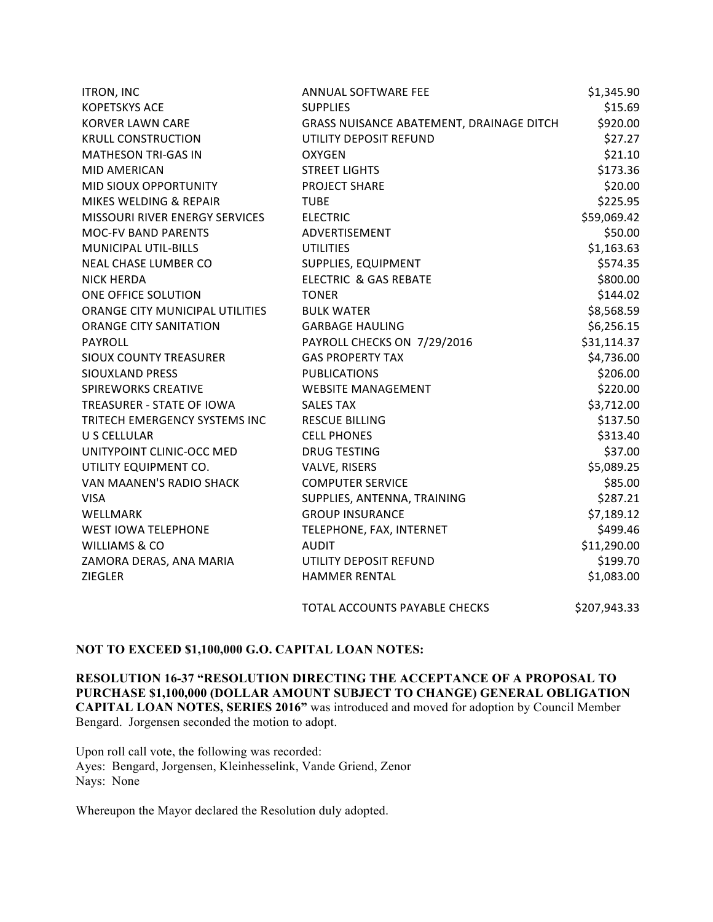| <b>ITRON, INC</b>                     | ANNUAL SOFTWARE FEE                      | \$1,345.90   |
|---------------------------------------|------------------------------------------|--------------|
| <b>KOPETSKYS ACE</b>                  | <b>SUPPLIES</b>                          | \$15.69      |
| <b>KORVER LAWN CARE</b>               | GRASS NUISANCE ABATEMENT, DRAINAGE DITCH | \$920.00     |
| <b>KRULL CONSTRUCTION</b>             | UTILITY DEPOSIT REFUND                   | \$27.27      |
| <b>MATHESON TRI-GAS IN</b>            | <b>OXYGEN</b>                            | \$21.10      |
| <b>MID AMERICAN</b>                   | <b>STREET LIGHTS</b>                     | \$173.36     |
| MID SIOUX OPPORTUNITY                 | PROJECT SHARE                            | \$20.00      |
| MIKES WELDING & REPAIR                | <b>TUBE</b>                              | \$225.95     |
| <b>MISSOURI RIVER ENERGY SERVICES</b> | <b>ELECTRIC</b>                          | \$59,069.42  |
| <b>MOC-FV BAND PARENTS</b>            | ADVERTISEMENT                            | \$50.00      |
| <b>MUNICIPAL UTIL-BILLS</b>           | <b>UTILITIES</b>                         | \$1,163.63   |
| NEAL CHASE LUMBER CO                  | SUPPLIES, EQUIPMENT                      | \$574.35     |
| <b>NICK HERDA</b>                     | ELECTRIC & GAS REBATE                    | \$800.00     |
| ONE OFFICE SOLUTION                   | <b>TONER</b>                             | \$144.02     |
| ORANGE CITY MUNICIPAL UTILITIES       | <b>BULK WATER</b>                        | \$8,568.59   |
| <b>ORANGE CITY SANITATION</b>         | <b>GARBAGE HAULING</b>                   | \$6,256.15   |
| PAYROLL                               | PAYROLL CHECKS ON 7/29/2016              | \$31,114.37  |
| <b>SIOUX COUNTY TREASURER</b>         | <b>GAS PROPERTY TAX</b>                  | \$4,736.00   |
| <b>SIOUXLAND PRESS</b>                | <b>PUBLICATIONS</b>                      | \$206.00     |
| <b>SPIREWORKS CREATIVE</b>            | <b>WEBSITE MANAGEMENT</b>                | \$220.00     |
| TREASURER - STATE OF IOWA             | <b>SALES TAX</b>                         | \$3,712.00   |
| TRITECH EMERGENCY SYSTEMS INC         | <b>RESCUE BILLING</b>                    | \$137.50     |
| U S CELLULAR                          | <b>CELL PHONES</b>                       | \$313.40     |
| UNITYPOINT CLINIC-OCC MED             | <b>DRUG TESTING</b>                      | \$37.00      |
| UTILITY EQUIPMENT CO.                 | VALVE, RISERS                            | \$5,089.25   |
| VAN MAANEN'S RADIO SHACK              | <b>COMPUTER SERVICE</b>                  | \$85.00      |
| <b>VISA</b>                           | SUPPLIES, ANTENNA, TRAINING              | \$287.21     |
| WELLMARK                              | <b>GROUP INSURANCE</b>                   | \$7,189.12   |
| <b>WEST IOWA TELEPHONE</b>            | TELEPHONE, FAX, INTERNET                 | \$499.46     |
| <b>WILLIAMS &amp; CO</b>              | <b>AUDIT</b>                             | \$11,290.00  |
| ZAMORA DERAS, ANA MARIA               | UTILITY DEPOSIT REFUND                   | \$199.70     |
| <b>ZIEGLER</b>                        | <b>HAMMER RENTAL</b>                     | \$1,083.00   |
|                                       | TOTAL ACCOUNTS PAYABLE CHECKS            | \$207,943.33 |

### **NOT TO EXCEED \$1,100,000 G.O. CAPITAL LOAN NOTES:**

**RESOLUTION 16-37 "RESOLUTION DIRECTING THE ACCEPTANCE OF A PROPOSAL TO PURCHASE \$1,100,000 (DOLLAR AMOUNT SUBJECT TO CHANGE) GENERAL OBLIGATION CAPITAL LOAN NOTES, SERIES 2016"** was introduced and moved for adoption by Council Member Bengard. Jorgensen seconded the motion to adopt.

Upon roll call vote, the following was recorded: Ayes: Bengard, Jorgensen, Kleinhesselink, Vande Griend, Zenor Nays: None

Whereupon the Mayor declared the Resolution duly adopted.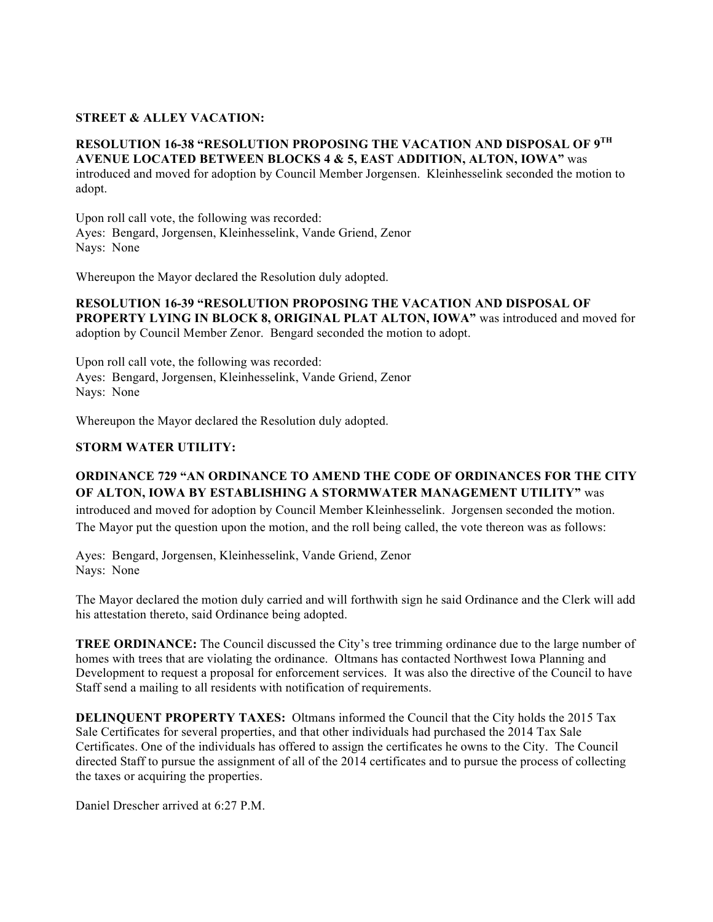## **STREET & ALLEY VACATION:**

## **RESOLUTION 16-38 "RESOLUTION PROPOSING THE VACATION AND DISPOSAL OF 9TH AVENUE LOCATED BETWEEN BLOCKS 4 & 5, EAST ADDITION, ALTON, IOWA"** was

introduced and moved for adoption by Council Member Jorgensen. Kleinhesselink seconded the motion to adopt.

Upon roll call vote, the following was recorded: Ayes: Bengard, Jorgensen, Kleinhesselink, Vande Griend, Zenor Nays: None

Whereupon the Mayor declared the Resolution duly adopted.

**RESOLUTION 16-39 "RESOLUTION PROPOSING THE VACATION AND DISPOSAL OF PROPERTY LYING IN BLOCK 8, ORIGINAL PLAT ALTON, IOWA"** was introduced and moved for adoption by Council Member Zenor. Bengard seconded the motion to adopt.

Upon roll call vote, the following was recorded: Ayes: Bengard, Jorgensen, Kleinhesselink, Vande Griend, Zenor Nays: None

Whereupon the Mayor declared the Resolution duly adopted.

#### **STORM WATER UTILITY:**

# **ORDINANCE 729 "AN ORDINANCE TO AMEND THE CODE OF ORDINANCES FOR THE CITY OF ALTON, IOWA BY ESTABLISHING A STORMWATER MANAGEMENT UTILITY"** was

introduced and moved for adoption by Council Member Kleinhesselink. Jorgensen seconded the motion. The Mayor put the question upon the motion, and the roll being called, the vote thereon was as follows:

Ayes: Bengard, Jorgensen, Kleinhesselink, Vande Griend, Zenor Nays: None

The Mayor declared the motion duly carried and will forthwith sign he said Ordinance and the Clerk will add his attestation thereto, said Ordinance being adopted.

**TREE ORDINANCE:** The Council discussed the City's tree trimming ordinance due to the large number of homes with trees that are violating the ordinance. Oltmans has contacted Northwest Iowa Planning and Development to request a proposal for enforcement services. It was also the directive of the Council to have Staff send a mailing to all residents with notification of requirements.

**DELINQUENT PROPERTY TAXES:** Oltmans informed the Council that the City holds the 2015 Tax Sale Certificates for several properties, and that other individuals had purchased the 2014 Tax Sale Certificates. One of the individuals has offered to assign the certificates he owns to the City. The Council directed Staff to pursue the assignment of all of the 2014 certificates and to pursue the process of collecting the taxes or acquiring the properties.

Daniel Drescher arrived at 6:27 P.M.